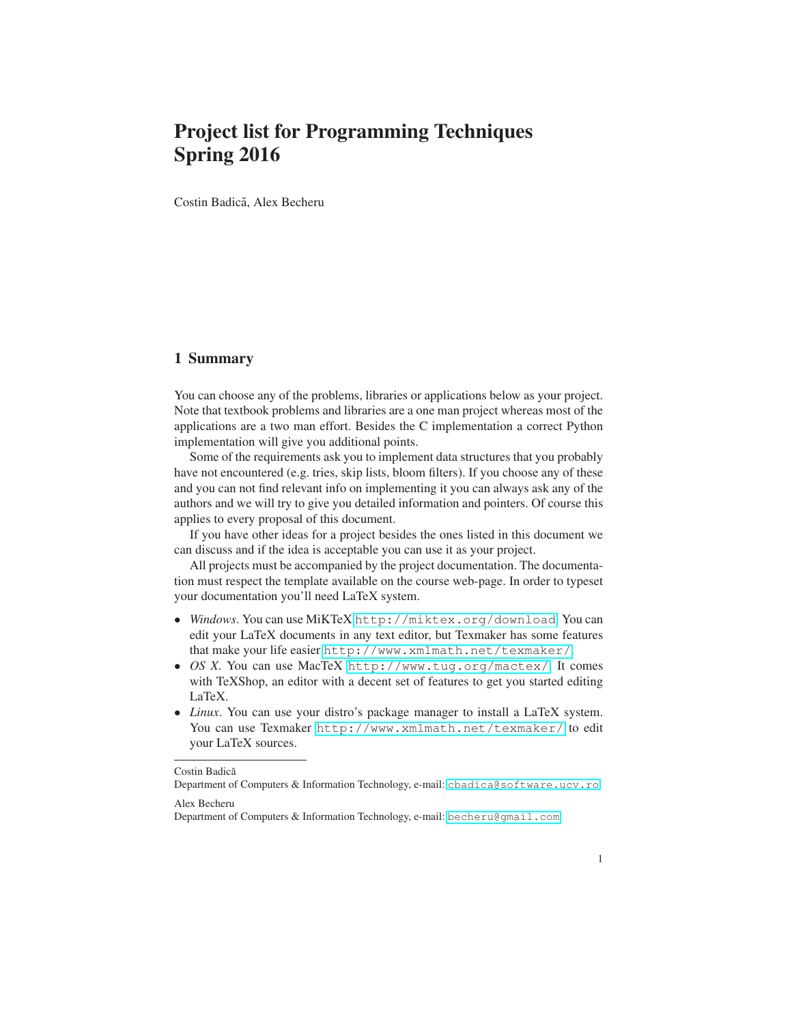# Project list for Programming Techniques Spring 2016

Costin Badică, Alex Becheru

#### 1 Summary

You can choose any of the problems, libraries or applications below as your project. Note that textbook problems and libraries are a one man project whereas most of the applications are a two man effort. Besides the C implementation a correct Python implementation will give you additional points.

Some of the requirements ask you to implement data structures that you probably have not encountered (e.g. tries, skip lists, bloom filters). If you choose any of these and you can not find relevant info on implementing it you can always ask any of the authors and we will try to give you detailed information and pointers. Of course this applies to every proposal of this document.

If you have other ideas for a project besides the ones listed in this document we can discuss and if the idea is acceptable you can use it as your project.

All projects must be accompanied by the project documentation. The documentation must respect the template available on the course web-page. In order to typeset your documentation you'll need LaTeX system.

- *Windows*. You can use MiKTeX <http://miktex.org/download>. You can edit your LaTeX documents in any text editor, but Texmaker has some features that make your life easier <http://www.xm1math.net/texmaker/>.
- *OS X*. You can use MacTeX <http://www.tug.org/mactex/>. It comes with TeXShop, an editor with a decent set of features to get you started editing LaTeX.
- *Linux*. You can use your distro's package manager to install a LaTeX system. You can use Texmaker <http://www.xm1math.net/texmaker/> to edit your LaTeX sources.

Costin Badică

Department of Computers & Information Technology, e-mail: <cbadica@software.ucv.ro> Alex Becheru

Department of Computers & Information Technology, e-mail: <becheru@gmail.com>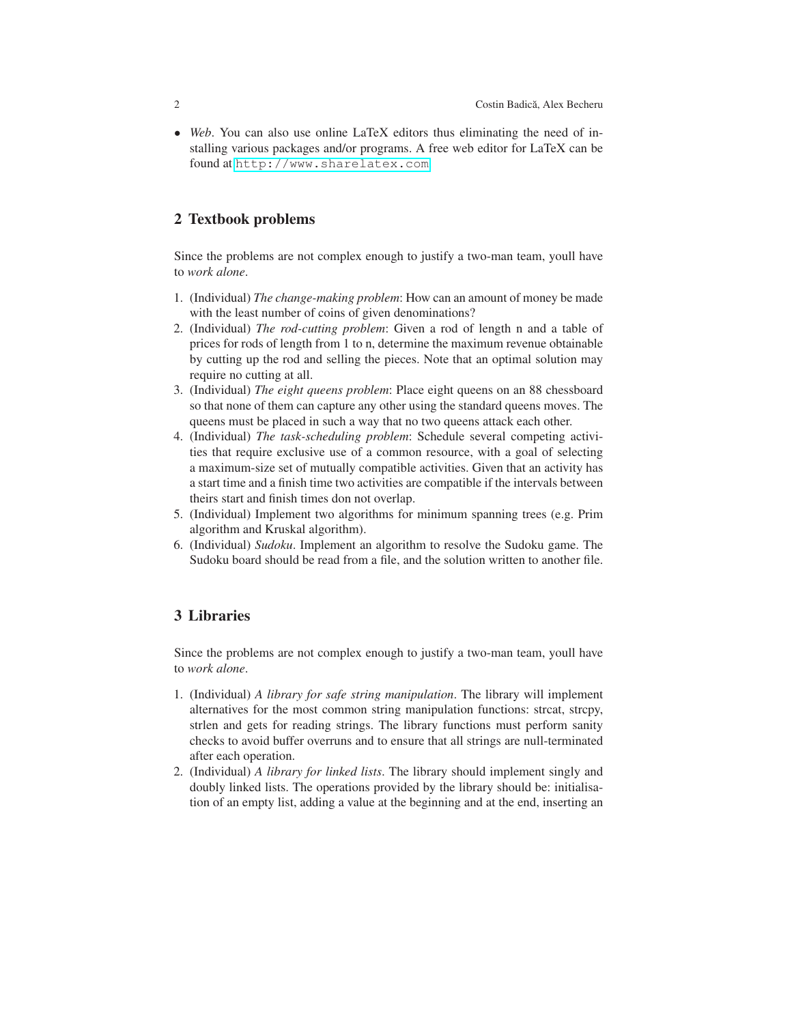• *Web*. You can also use online LaTeX editors thus eliminating the need of installing various packages and/or programs. A free web editor for LaTeX can be found at <http://www.sharelatex.com>.

#### 2 Textbook problems

Since the problems are not complex enough to justify a two-man team, youll have to *work alone*.

- 1. (Individual) *The change-making problem*: How can an amount of money be made with the least number of coins of given denominations?
- 2. (Individual) *The rod-cutting problem*: Given a rod of length n and a table of prices for rods of length from 1 to n, determine the maximum revenue obtainable by cutting up the rod and selling the pieces. Note that an optimal solution may require no cutting at all.
- 3. (Individual) *The eight queens problem*: Place eight queens on an 88 chessboard so that none of them can capture any other using the standard queens moves. The queens must be placed in such a way that no two queens attack each other.
- 4. (Individual) *The task-scheduling problem*: Schedule several competing activities that require exclusive use of a common resource, with a goal of selecting a maximum-size set of mutually compatible activities. Given that an activity has a start time and a finish time two activities are compatible if the intervals between theirs start and finish times don not overlap.
- 5. (Individual) Implement two algorithms for minimum spanning trees (e.g. Prim algorithm and Kruskal algorithm).
- 6. (Individual) *Sudoku*. Implement an algorithm to resolve the Sudoku game. The Sudoku board should be read from a file, and the solution written to another file.

### 3 Libraries

Since the problems are not complex enough to justify a two-man team, youll have to *work alone*.

- 1. (Individual) *A library for safe string manipulation*. The library will implement alternatives for the most common string manipulation functions: strcat, strcpy, strlen and gets for reading strings. The library functions must perform sanity checks to avoid buffer overruns and to ensure that all strings are null-terminated after each operation.
- 2. (Individual) *A library for linked lists*. The library should implement singly and doubly linked lists. The operations provided by the library should be: initialisation of an empty list, adding a value at the beginning and at the end, inserting an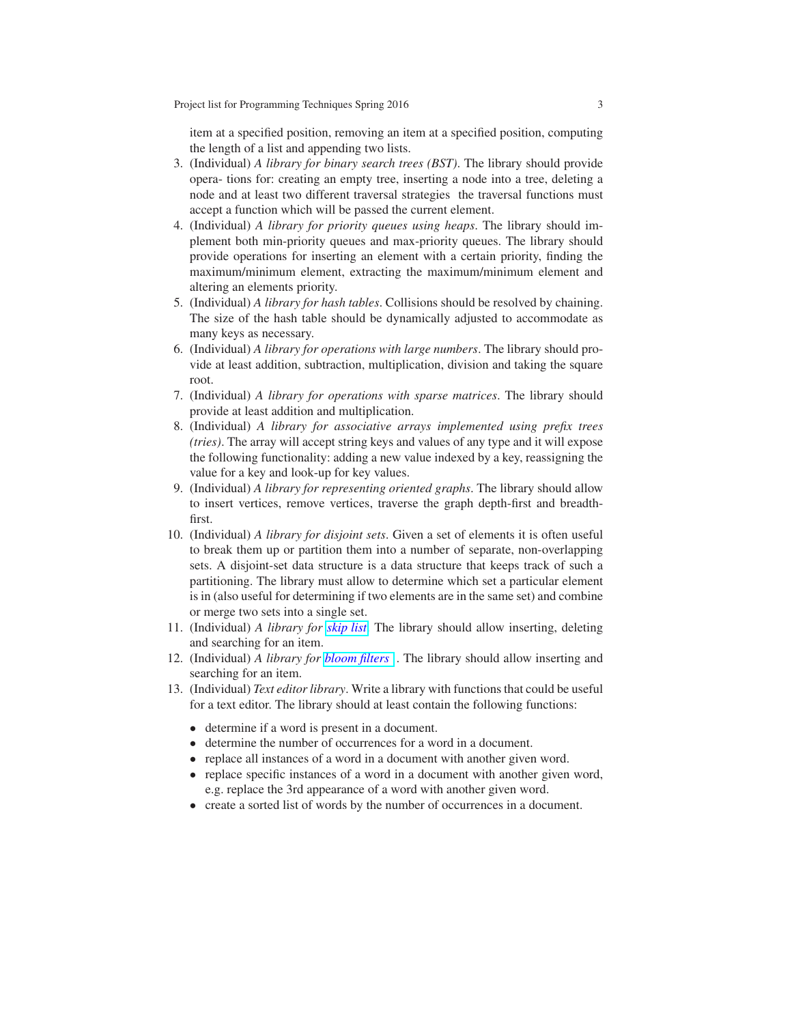item at a specified position, removing an item at a specified position, computing the length of a list and appending two lists.

- 3. (Individual) *A library for binary search trees (BST)*. The library should provide opera- tions for: creating an empty tree, inserting a node into a tree, deleting a node and at least two different traversal strategies the traversal functions must accept a function which will be passed the current element.
- 4. (Individual) *A library for priority queues using heaps*. The library should implement both min-priority queues and max-priority queues. The library should provide operations for inserting an element with a certain priority, finding the maximum/minimum element, extracting the maximum/minimum element and altering an elements priority.
- 5. (Individual) *A library for hash tables*. Collisions should be resolved by chaining. The size of the hash table should be dynamically adjusted to accommodate as many keys as necessary.
- 6. (Individual) *A library for operations with large numbers*. The library should provide at least addition, subtraction, multiplication, division and taking the square root.
- 7. (Individual) *A library for operations with sparse matrices*. The library should provide at least addition and multiplication.
- 8. (Individual) *A library for associative arrays implemented using prefix trees (tries)*. The array will accept string keys and values of any type and it will expose the following functionality: adding a new value indexed by a key, reassigning the value for a key and look-up for key values.
- 9. (Individual) *A library for representing oriented graphs*. The library should allow to insert vertices, remove vertices, traverse the graph depth-first and breadthfirst.
- 10. (Individual) *A library for disjoint sets*. Given a set of elements it is often useful to break them up or partition them into a number of separate, non-overlapping sets. A disjoint-set data structure is a data structure that keeps track of such a partitioning. The library must allow to determine which set a particular element is in (also useful for determining if two elements are in the same set) and combine or merge two sets into a single set.
- 11. (Individual) *A library for [skip list](http://en.wikipedia.org/wiki/Skip_list)*. The library should allow inserting, deleting and searching for an item.
- 12. (Individual) *A library for [bloom filters](http://en.wikipedia.org/wiki/Bloom_filter)* . The library should allow inserting and searching for an item.
- 13. (Individual) *Text editor library*. Write a library with functions that could be useful for a text editor. The library should at least contain the following functions:
	- determine if a word is present in a document.
	- determine the number of occurrences for a word in a document.
	- replace all instances of a word in a document with another given word.
	- replace specific instances of a word in a document with another given word, e.g. replace the 3rd appearance of a word with another given word.
	- create a sorted list of words by the number of occurrences in a document.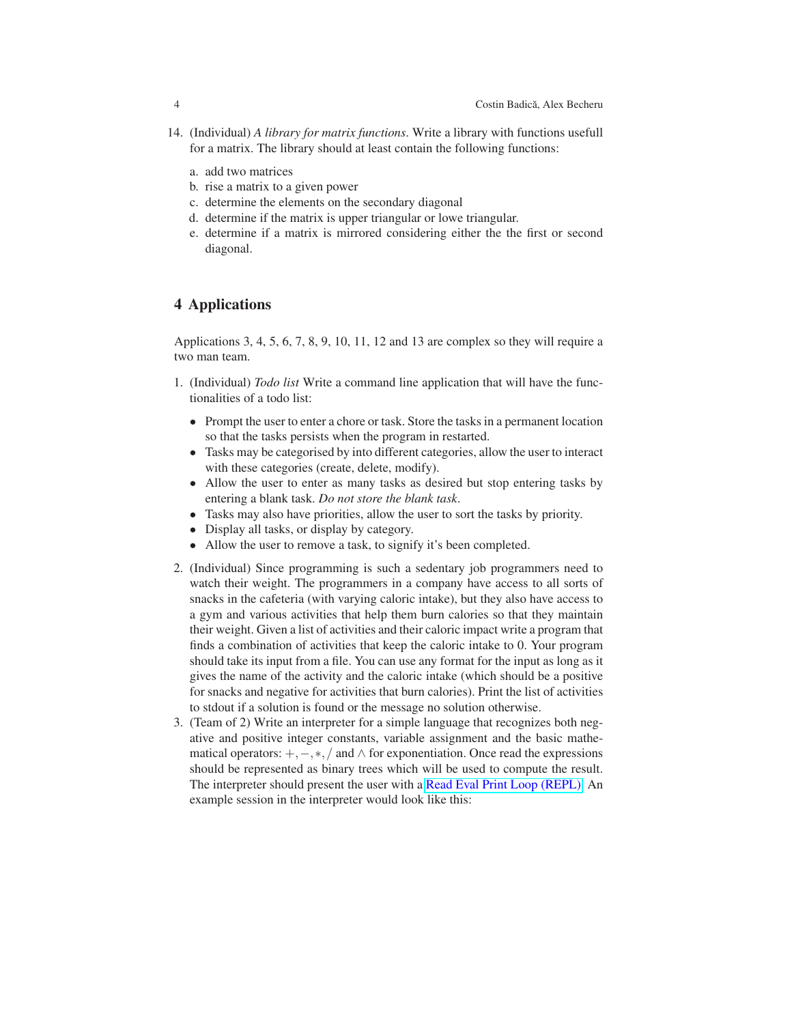- 14. (Individual) *A library for matrix functions*. Write a library with functions usefull for a matrix. The library should at least contain the following functions:
	- a. add two matrices
	- b. rise a matrix to a given power
	- c. determine the elements on the secondary diagonal
	- d. determine if the matrix is upper triangular or lowe triangular.
	- e. determine if a matrix is mirrored considering either the the first or second diagonal.

## 4 Applications

Applications 3, 4, 5, 6, 7, 8, 9, 10, 11, 12 and 13 are complex so they will require a two man team.

- 1. (Individual) *Todo list* Write a command line application that will have the functionalities of a todo list:
	- Prompt the user to enter a chore or task. Store the tasks in a permanent location so that the tasks persists when the program in restarted.
	- Tasks may be categorised by into different categories, allow the user to interact with these categories (create, delete, modify).
	- Allow the user to enter as many tasks as desired but stop entering tasks by entering a blank task. *Do not store the blank task*.
	- Tasks may also have priorities, allow the user to sort the tasks by priority.
	- Display all tasks, or display by category.
	- Allow the user to remove a task, to signify it's been completed.
- 2. (Individual) Since programming is such a sedentary job programmers need to watch their weight. The programmers in a company have access to all sorts of snacks in the cafeteria (with varying caloric intake), but they also have access to a gym and various activities that help them burn calories so that they maintain their weight. Given a list of activities and their caloric impact write a program that finds a combination of activities that keep the caloric intake to 0. Your program should take its input from a file. You can use any format for the input as long as it gives the name of the activity and the caloric intake (which should be a positive for snacks and negative for activities that burn calories). Print the list of activities to stdout if a solution is found or the message no solution otherwise.
- 3. (Team of 2) Write an interpreter for a simple language that recognizes both negative and positive integer constants, variable assignment and the basic mathematical operators:  $+,-,*,/$  and  $\wedge$  for exponentiation. Once read the expressions should be represented as binary trees which will be used to compute the result. The interpreter should present the user with a [Read Eval Print Loop \(REPL\).](http://en.wikipedia.org/wiki/Read%E2%80%93eval%E2%80%93print_loop) An example session in the interpreter would look like this: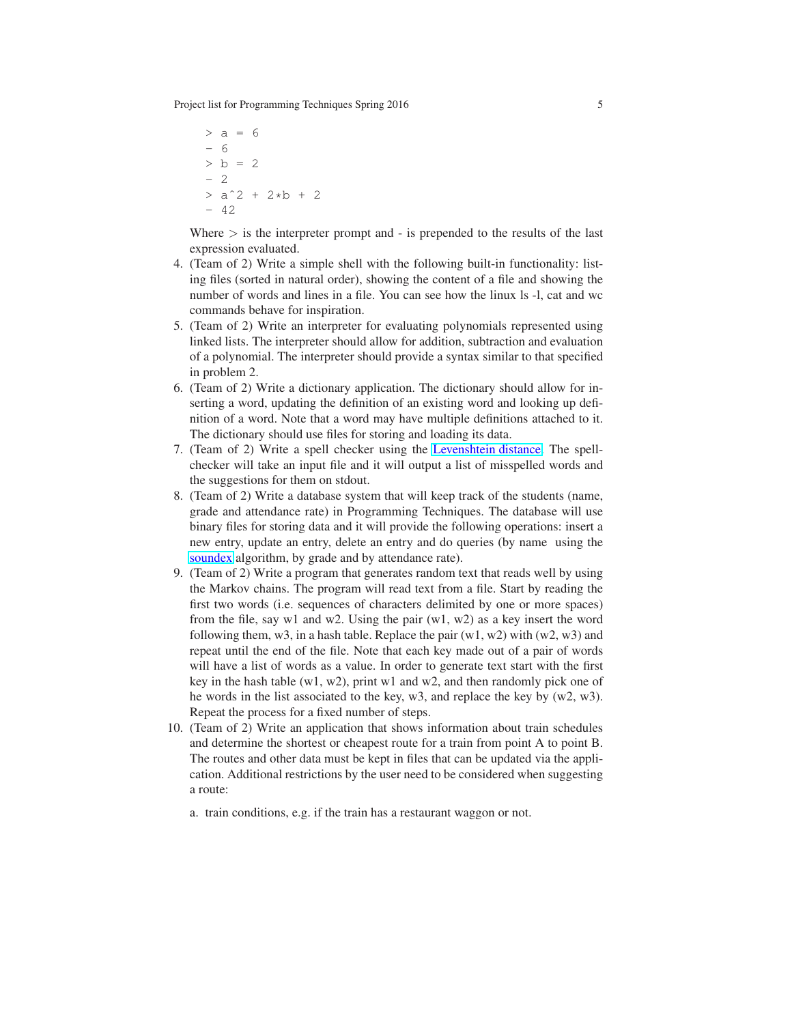Project list for Programming Techniques Spring 2016 5

```
> a = 6- 6
> b = 2- 2
> a^2 + 2*b + 2- 42
```
Where  $>$  is the interpreter prompt and  $-$  is prepended to the results of the last expression evaluated.

- 4. (Team of 2) Write a simple shell with the following built-in functionality: listing files (sorted in natural order), showing the content of a file and showing the number of words and lines in a file. You can see how the linux ls -l, cat and wc commands behave for inspiration.
- 5. (Team of 2) Write an interpreter for evaluating polynomials represented using linked lists. The interpreter should allow for addition, subtraction and evaluation of a polynomial. The interpreter should provide a syntax similar to that specified in problem 2.
- 6. (Team of 2) Write a dictionary application. The dictionary should allow for inserting a word, updating the definition of an existing word and looking up definition of a word. Note that a word may have multiple definitions attached to it. The dictionary should use files for storing and loading its data.
- 7. (Team of 2) Write a spell checker using the [Levenshtein distance.](http://en.wikipedia.org/wiki/Levenshtein_distance) The spellchecker will take an input file and it will output a list of misspelled words and the suggestions for them on stdout.
- 8. (Team of 2) Write a database system that will keep track of the students (name, grade and attendance rate) in Programming Techniques. The database will use binary files for storing data and it will provide the following operations: insert a new entry, update an entry, delete an entry and do queries (by name using the [soundex](http://en.wikipedia.org/wiki/Soundex) algorithm, by grade and by attendance rate).
- 9. (Team of 2) Write a program that generates random text that reads well by using the Markov chains. The program will read text from a file. Start by reading the first two words (i.e. sequences of characters delimited by one or more spaces) from the file, say w1 and w2. Using the pair  $(w1, w2)$  as a key insert the word following them,  $w3$ , in a hash table. Replace the pair  $(w1, w2)$  with  $(w2, w3)$  and repeat until the end of the file. Note that each key made out of a pair of words will have a list of words as a value. In order to generate text start with the first key in the hash table (w1, w2), print w1 and w2, and then randomly pick one of he words in the list associated to the key, w3, and replace the key by (w2, w3). Repeat the process for a fixed number of steps.
- 10. (Team of 2) Write an application that shows information about train schedules and determine the shortest or cheapest route for a train from point A to point B. The routes and other data must be kept in files that can be updated via the application. Additional restrictions by the user need to be considered when suggesting a route:
	- a. train conditions, e.g. if the train has a restaurant waggon or not.